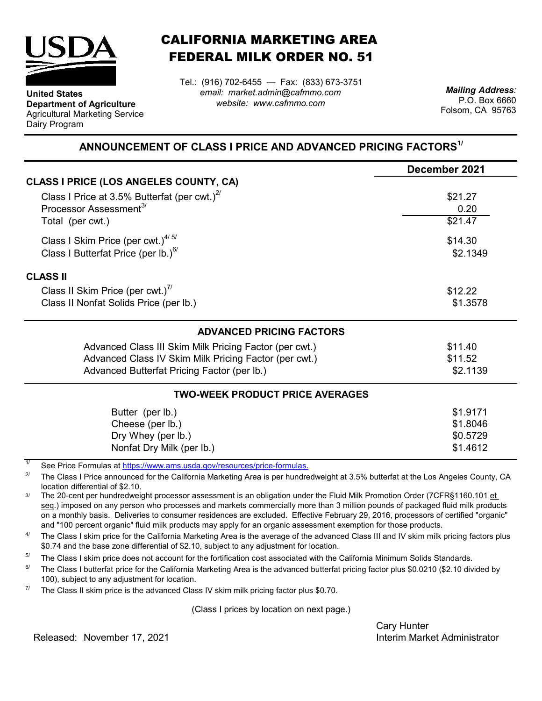

**Department of Agriculture** Agricultural Marketing Service

**United States**

Dairy Program

CALIFORNIA MARKETING AREA FEDERAL MILK ORDER NO. 51

Tel.: (916) 702-6455 — Fax: (833) 673-3751 *email: market.admin@cafmmo.com website: www.cafmmo.com*

*Mailing Address:* P.O. Box 6660 Folsom, CA 95763

## **ANNOUNCEMENT OF CLASS I PRICE AND ADVANCED PRICING FACTORS1/**

|                                                                          | December 2021 |  |  |
|--------------------------------------------------------------------------|---------------|--|--|
| <b>CLASS I PRICE (LOS ANGELES COUNTY, CA)</b>                            |               |  |  |
| Class I Price at 3.5% Butterfat (per cwt.) $2^{7}$                       | \$21.27       |  |  |
| Processor Assessment <sup>3/</sup>                                       | 0.20          |  |  |
| Total (per cwt.)                                                         | \$21.47       |  |  |
| Class I Skim Price (per cwt.) $4/5/$                                     | \$14.30       |  |  |
| Class I Butterfat Price (per lb.) $^{6/}$                                | \$2.1349      |  |  |
| <b>CLASS II</b>                                                          |               |  |  |
| Class II Skim Price (per cwt.)"                                          | \$12.22       |  |  |
| Class II Nonfat Solids Price (per lb.)                                   | \$1.3578      |  |  |
| <b>ADVANCED PRICING FACTORS</b>                                          |               |  |  |
| Advanced Class III Skim Milk Pricing Factor (per cwt.)                   | \$11.40       |  |  |
| Advanced Class IV Skim Milk Pricing Factor (per cwt.)                    | \$11.52       |  |  |
| Advanced Butterfat Pricing Factor (per lb.)                              | \$2.1139      |  |  |
| <b>TWO-WEEK PRODUCT PRICE AVERAGES</b>                                   |               |  |  |
| Butter (per lb.)                                                         | \$1.9171      |  |  |
| Cheese (per lb.)                                                         | \$1.8046      |  |  |
| Dry Whey (per lb.)                                                       | \$0.5729      |  |  |
| Nonfat Dry Milk (per lb.)                                                | \$1.4612      |  |  |
| $\mathbf{r}$ , $\mathbf{r}$ , $\mathbf{r}$ , $\mathbf{r}$ , $\mathbf{r}$ |               |  |  |

1/ [See Price Formulas at h](https://www.ams.usda.gov/resources/price-formulas)ttps://www.ams.usda.gov/resources/price-formulas.

2/ The Class I Price announced for the California Marketing Area is per hundredweight at 3.5% butterfat at the Los Angeles County, CA location differential of \$2.10.

3/ The 20-cent per hundredweight processor assessment is an obligation under the Fluid Milk Promotion Order (7CFR§1160.101 et seq.) imposed on any person who processes and markets commercially more than 3 million pounds of packaged fluid milk products on a monthly basis. Deliveries to consumer residences are excluded. Effective February 29, 2016, processors of certified "organic" and "100 percent organic" fluid milk products may apply for an organic assessment exemption for those products.

 $\Delta l$ The Class I skim price for the California Marketing Area is the average of the advanced Class III and IV skim milk pricing factors plus \$0.74 and the base zone differential of \$2.10, subject to any adjustment for location.

5/ The Class I skim price does not account for the fortification cost associated with the California Minimum Solids Standards.

 $6/$ The Class I butterfat price for the California Marketing Area is the advanced butterfat pricing factor plus \$0.0210 (\$2.10 divided by 100), subject to any adjustment for location.

7/ The Class II skim price is the advanced Class IV skim milk pricing factor plus \$0.70.

(Class I prices by location on next page.)

Cary Hunter

Released: Interim Market Administrator November 17, 2021